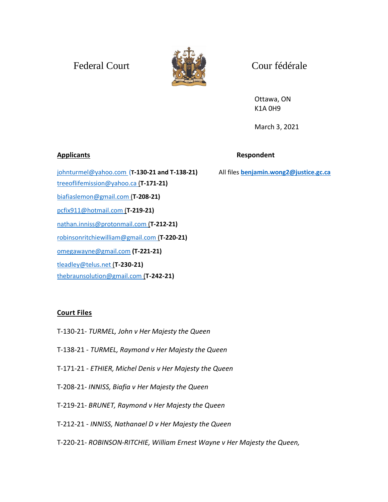## Federal Court Court Court Court



Ottawa, ON K1A 0H9

March 3, 2021

[johnturmel@yahoo.com](mailto:johnturmel@yahoo.com) (**T-130-21 and T-138-21)** All files **[benjamin.wong2@justice.gc.ca](mailto:benjamin.wong2@justice.gc.ca)** [treeoflifemission@yahoo.ca](mailto:treeoflifemission@yahoo.ca) (**T-171-21)** [biafiaslemon@gmail.com](mailto:biafiaslemon@gmail.com) (**T-208-21)** [pcfix911@hotmail.com](mailto:pcfix911@hotmail.com) (**T-219-21)** [nathan.inniss@protonmail.com](mailto:nathan.inniss@protonmail.com) (**T-212-21)** [robinsonritchiewilliam@gmail.com](mailto:robinsonritchiewilliam@gmail.com) (**T-220-21)** [omegawayne@gmail.com](mailto:omegawayne@gmail.com) **(T-221-21)** [tleadley@telus.net](mailto:tleadley@telus.net) (**T-230-21)**

[thebraunsolution@gmail.com](mailto:thebraunsolution@gmail.com) (**T-242-21)**

## **Court Files**

- T-130-21- *TURMEL, John v Her Majesty the Queen*
- T-138-21 *TURMEL, Raymond v Her Majesty the Queen*
- T-171-21 *- ETHIER, Michel Denis v Her Majesty the Queen*
- T-208-21*- INNISS, Biafia v Her Majesty the Queen*
- T-219-21*- BRUNET, Raymond v Her Majesty the Queen*
- T-212-21 *INNISS, Nathanael D v Her Majesty the Queen*
- T-220-21- *ROBINSON-RITCHIE, William Ernest Wayne v Her Majesty the Queen,*

## **Applicants Respondent**